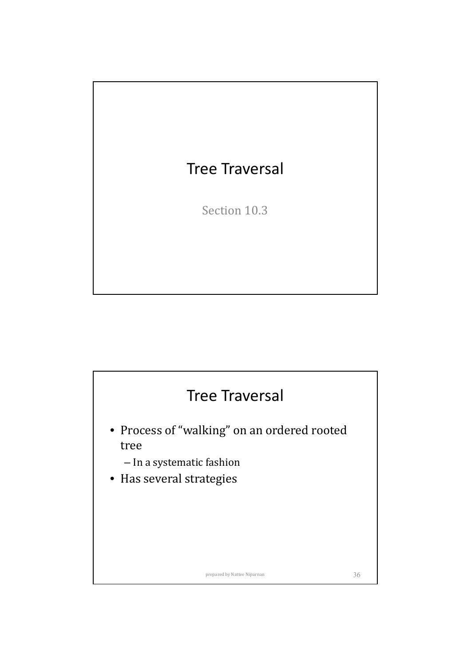

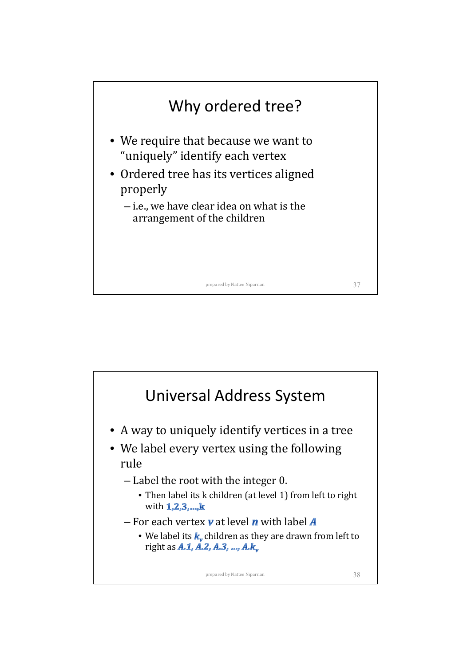

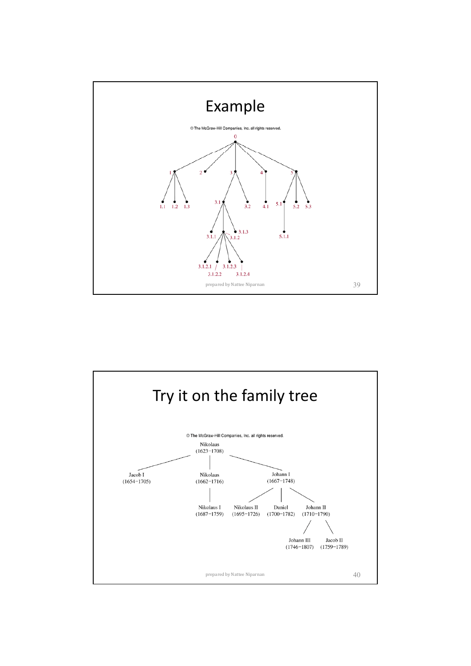

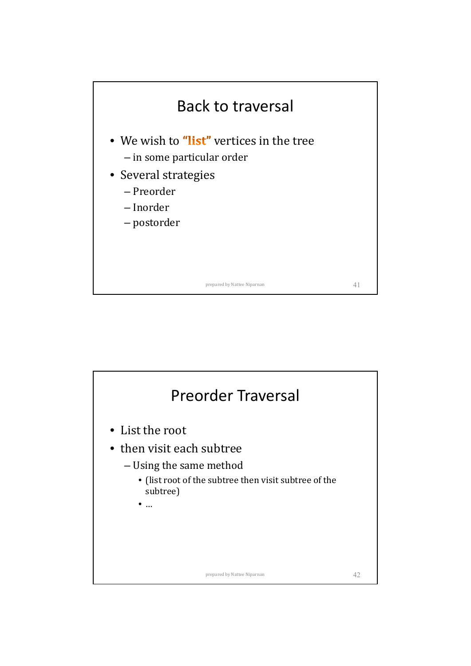

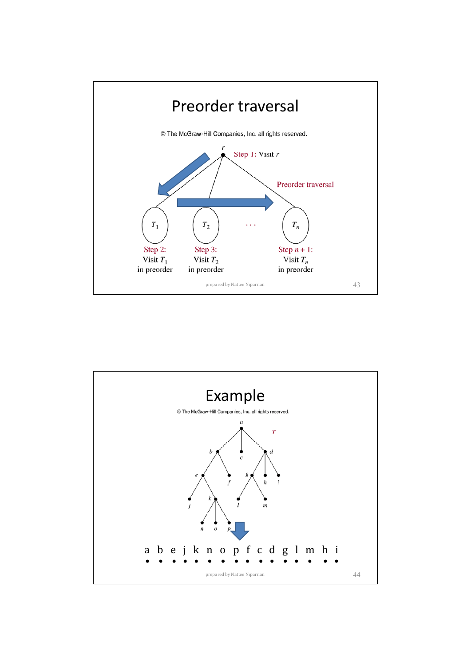

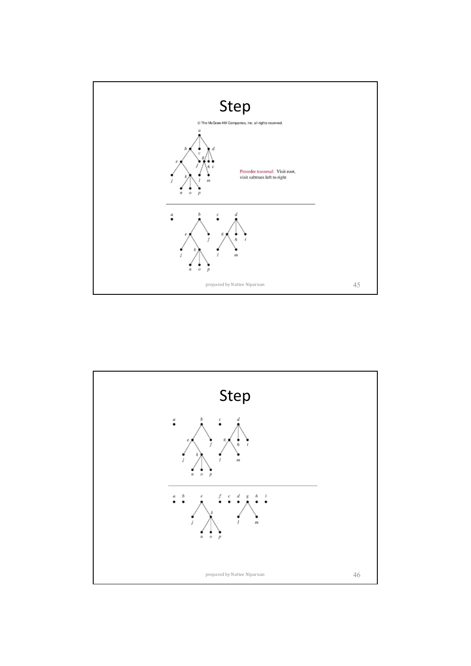

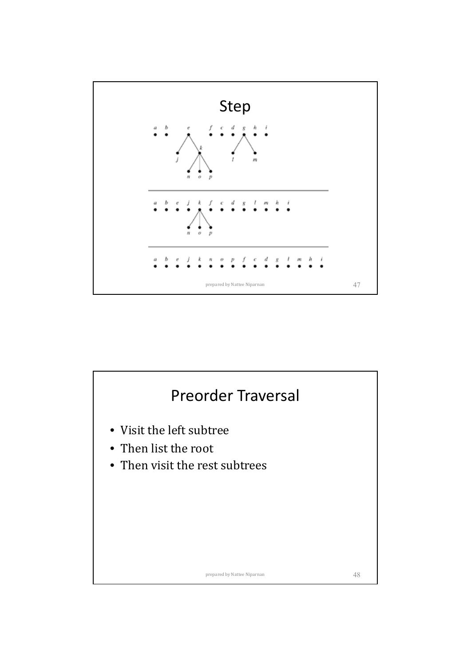

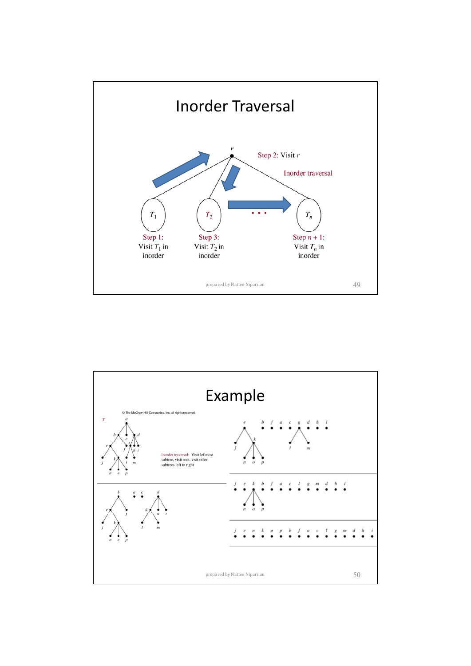

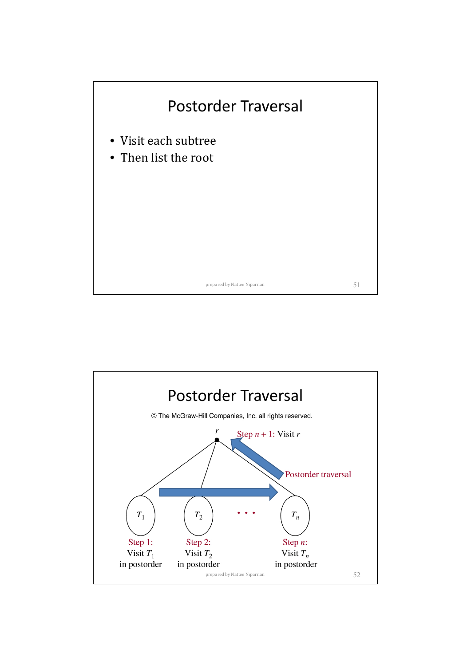

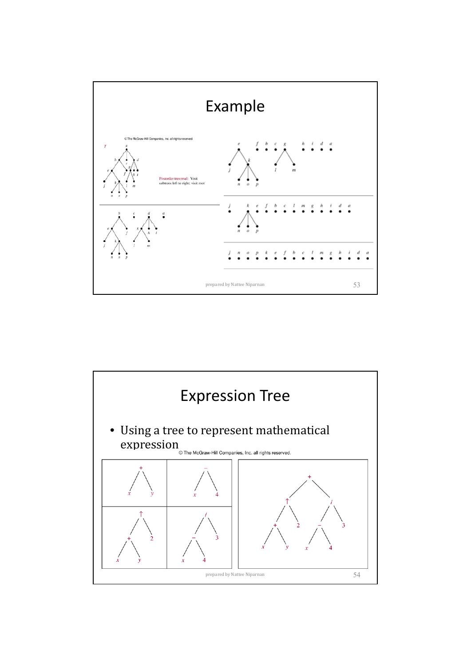

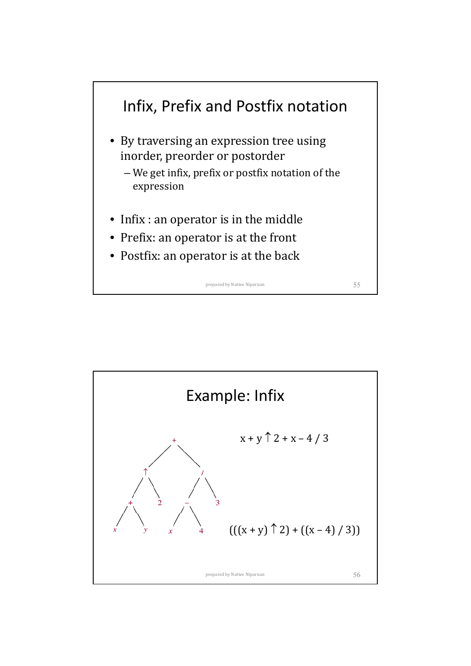

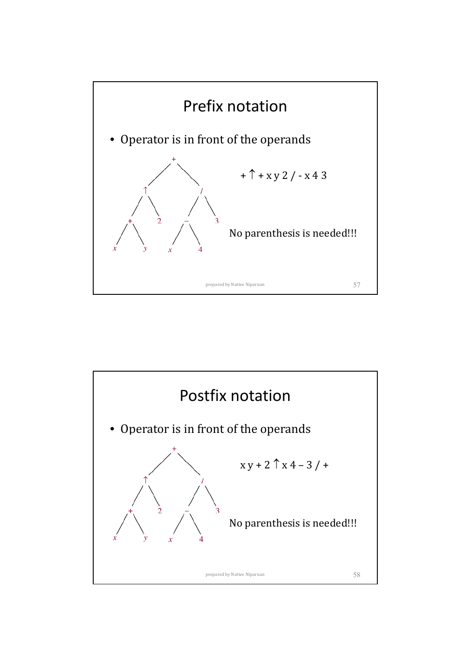

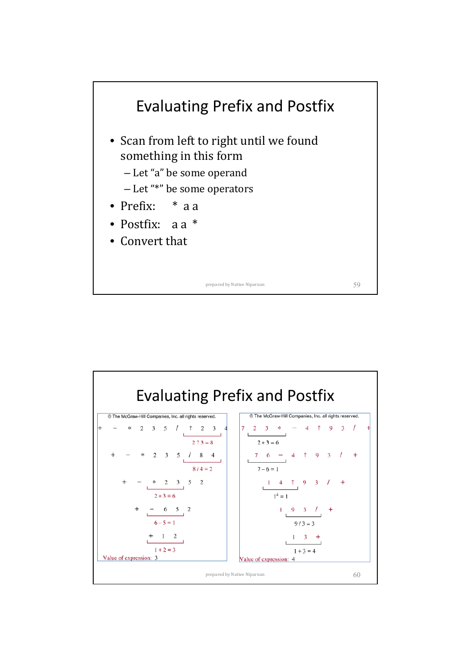

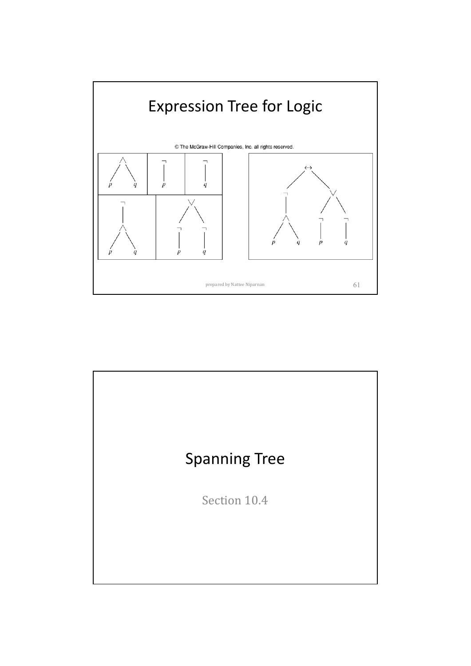

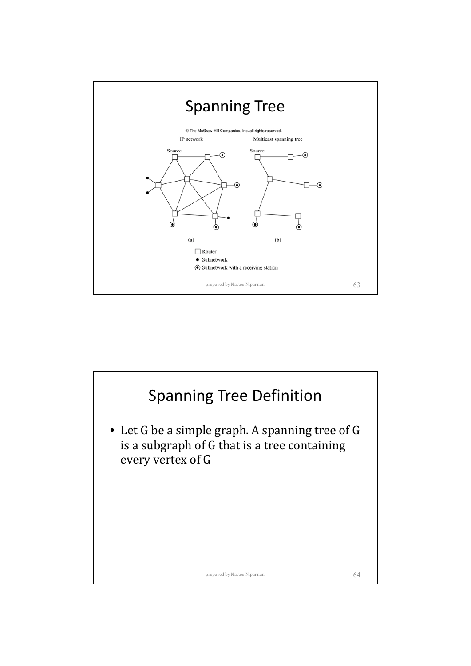

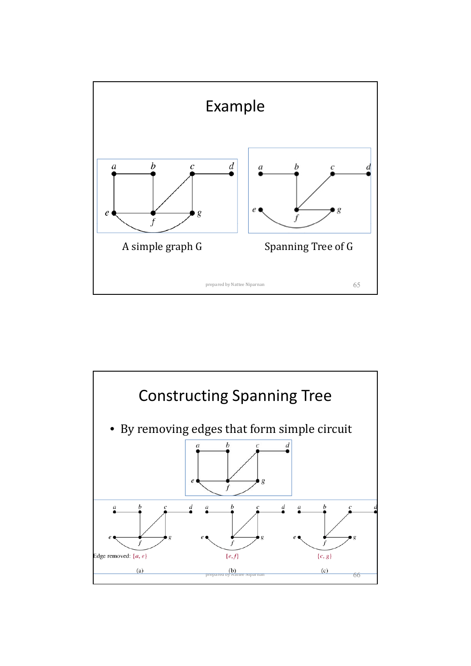